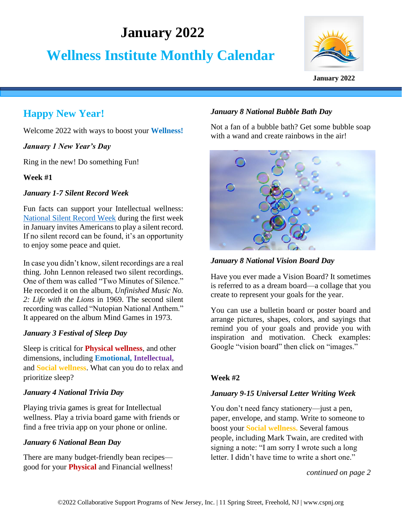# **January 2022**

# **Wellness Institute Monthly Calendar**



#### **January 2022**

## **Happy New Year!**

Welcome 2022 with ways to boost your **Wellness!**

*January 1 New Year's Day*

Ring in the new! Do something Fun!

**Week #1**

#### *January 1-7 Silent Record Week*

Fun facts can support your Intellectual wellness: [National Silent Record Week](https://nationaldaycalendar.com/national-silent-record-week-first-week-in-january/#:~:text=NATIONAL%20SILENT%20RECORD%20WEEK%20National%20Silent%20Record%20Week,didn%E2%80%99t%20know%2C%20silent%20recordings%20are%20a%20real%20thing) during the first week in January invites Americans to play a silent record. If no silent record can be found, it's an opportunity to enjoy some peace and quiet.

In case you didn't know, silent recordings are a real thing. John Lennon released two silent recordings. One of them was called "Two Minutes of Silence." He recorded it on the album, *Unfinished Music No. 2: Life with the Lions* in 1969. The second silent recording was called "Nutopian National Anthem." It appeared on the album Mind Games in 1973.

## *January 3 Festival of Sleep Day*

Sleep is critical for **Physical wellness**, and other dimensions, including **Emotional, Intellectual,** and **Social wellness**. What can you do to relax and prioritize sleep?

#### *January 4 National Trivia Day*

Playing trivia games is great for Intellectual wellness. Play a trivia board game with friends or find a free trivia app on your phone or online.

## *January 6 National Bean Day*

There are many budget-friendly bean recipes good for your **Physical** and Financial wellness!

## *January 8 National Bubble Bath Day*

Not a fan of a bubble bath? Get some bubble soap with a wand and create rainbows in the air!



*January 8 National Vision Board Day*

Have you ever made a Vision Board? It sometimes is referred to as a dream board—a collage that you create to represent your goals for the year.

You can use a bulletin board or poster board and arrange pictures, shapes, colors, and sayings that remind you of your goals and provide you with inspiration and motivation. Check examples: Google "vision board" then click on "images."

## **Week #2**

## *January 9-15 Universal Letter Writing Week*

You don't need fancy stationery—just a pen, paper, envelope, and stamp. Write to someone to boost your **Social wellness.** Several famous people, including Mark Twain, are credited with signing a note: "I am sorry I wrote such a long letter. I didn't have time to write a short one."

*continued on page 2*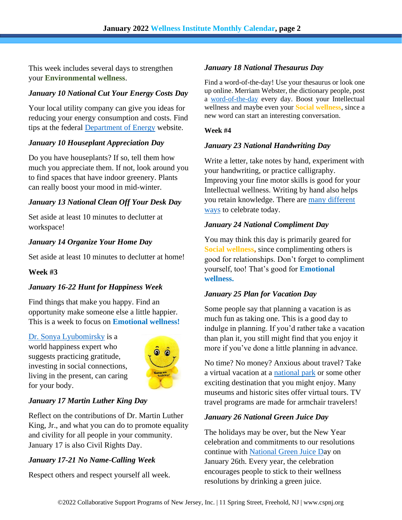This week includes several days to strengthen your **Environmental wellness**.

## *January 10 National Cut Your Energy Costs Day*

Your local utility company can give you ideas for reducing your energy consumption and costs. Find tips at the federal [Department of Energy](https://www.energy.gov/energysaver/reducing-electricity-use-and-costs) website.

## *January 10 Houseplant Appreciation Day*

Do you have houseplants? If so, tell them how much you appreciate them. If not, look around you to find spaces that have indoor greenery. Plants can really boost your mood in mid-winter.

## *January 13 National Clean Off Your Desk Day*

Set aside at least 10 minutes to declutter at workspace!

## *January 14 Organize Your Home Day*

Set aside at least 10 minutes to declutter at home!

#### **Week #3**

## *January 16-22 Hunt for Happiness Week*

Find things that make you happy. Find an opportunity make someone else a little happier. This is a week to focus on **Emotional wellness!**

[Dr. Sonya Lyubomirsky](http://thehowofhappiness.com/discover-happiness/) is a world happiness expert who suggests practicing gratitude, investing in social connections, living in the present, can caring for your body.



## *January 17 Martin Luther King Day*

Reflect on the contributions of Dr. Martin Luther King, Jr., and what you can do to promote equality and civility for all people in your community. January 17 is also Civil Rights Day.

## *January 17-21 No Name-Calling Week*

Respect others and respect yourself all week.

#### *January 18 National Thesaurus Day*

Find a word-of-the-day! Use your thesaurus or look one up online. Merriam Webster, the dictionary people, post a [word-of-the-day](https://www.merriam-webster.com/word-of-the-day) every day. Boost your Intellectual wellness and maybe even your **Social wellness**, since a new word can start an interesting conversation.

#### **Week #4**

#### *January 23 National Handwriting Day*

Write a letter, take notes by hand, experiment with your handwriting, or practice calligraphy. Improving your fine motor skills is good for your Intellectual wellness. Writing by hand also helps you retain knowledge. There are [many different](https://www.pens.com/blog/8-ways-celebrate-national-handwriting-day/)  [ways](https://www.pens.com/blog/8-ways-celebrate-national-handwriting-day/) to celebrate today.

#### *January 24 National Compliment Day*

You may think this day is primarily geared for **Social wellness,** since complimenting others is good for relationships. Don't forget to compliment yourself, too! That's good for **Emotional wellness.**

#### *January 25 Plan for Vacation Day*

Some people say that planning a vacation is as much fun as taking one. This is a good day to indulge in planning. If you'd rather take a vacation than plan it, you still might find that you enjoy it more if you've done a little planning in advance.

No time? No money? Anxious about travel? Take a virtual vacation at a [national park](https://www.youtube.com/channel/UCs4ag7ql5K_gmIxvHN5GCDA) or some other exciting destination that you might enjoy. Many museums and historic sites offer virtual tours. TV travel programs are made for armchair travelers!

#### *January 26 National Green Juice Day*

The holidays may be over, but the New Year celebration and commitments to our resolutions continue with [National Green Juice Da](https://nationaldaycalendar.com/national-green-juice-day-january-26/)y on January 26th. Every year, the celebration encourages people to stick to their wellness resolutions by drinking a green juice.